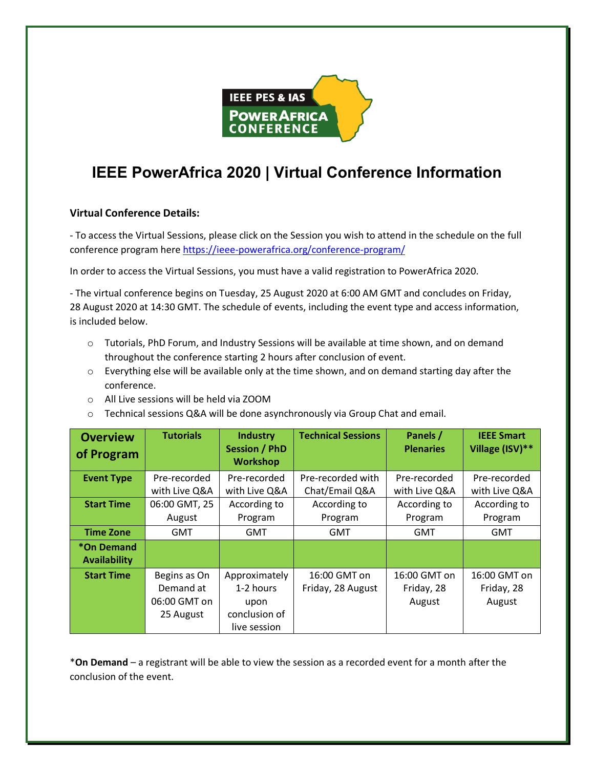

# **IEEE PowerAfrica 2020 | Virtual Conference Information**

# **Virtual Conference Details:**

- To access the Virtual Sessions, please click on the Session you wish to attend in the schedule on the full conference program here https://ieee-powerafrica.org/conference-program/

In order to access the Virtual Sessions, you must have a valid registration to PowerAfrica 2020.

- The virtual conference begins on Tuesday, 25 August 2020 at 6:00 AM GMT and concludes on Friday, 28 August 2020 at 14:30 GMT. The schedule of events, including the event type and access information, is included below.

- o Tutorials, PhD Forum, and Industry Sessions will be available at time shown, and on demand throughout the conference starting 2 hours after conclusion of event.
- o Everything else will be available only at the time shown, and on demand starting day after the conference.
- o All Live sessions will be held via ZOOM
- o Technical sessions Q&A will be done asynchronously via Group Chat and email.

| <b>Overview</b><br>of Program     | <b>Tutorials</b> | <b>Industry</b><br><b>Session / PhD</b><br><b>Workshop</b> | <b>Technical Sessions</b> | Panels /<br><b>Plenaries</b> | <b>IEEE Smart</b><br>Village (ISV)** |
|-----------------------------------|------------------|------------------------------------------------------------|---------------------------|------------------------------|--------------------------------------|
| <b>Event Type</b>                 | Pre-recorded     | Pre-recorded                                               | Pre-recorded with         | Pre-recorded                 | Pre-recorded                         |
|                                   | with Live Q&A    | with Live Q&A                                              | Chat/Email Q&A            | with Live Q&A                | with Live Q&A                        |
| <b>Start Time</b>                 | 06:00 GMT, 25    | According to                                               | According to              | According to                 | According to                         |
|                                   | August           | Program                                                    | Program                   | Program                      | Program                              |
| <b>Time Zone</b>                  | GMT              | <b>GMT</b>                                                 | <b>GMT</b>                | <b>GMT</b>                   | <b>GMT</b>                           |
| *On Demand<br><b>Availability</b> |                  |                                                            |                           |                              |                                      |
| <b>Start Time</b>                 | Begins as On     | Approximately                                              | 16:00 GMT on              | 16:00 GMT on                 | 16:00 GMT on                         |
|                                   | Demand at        | 1-2 hours                                                  | Friday, 28 August         | Friday, 28                   | Friday, 28                           |
|                                   | 06:00 GMT on     | upon                                                       |                           | August                       | August                               |
|                                   | 25 August        | conclusion of                                              |                           |                              |                                      |
|                                   |                  | live session                                               |                           |                              |                                      |

\***On Demand** – a registrant will be able to view the session as a recorded event for a month after the conclusion of the event.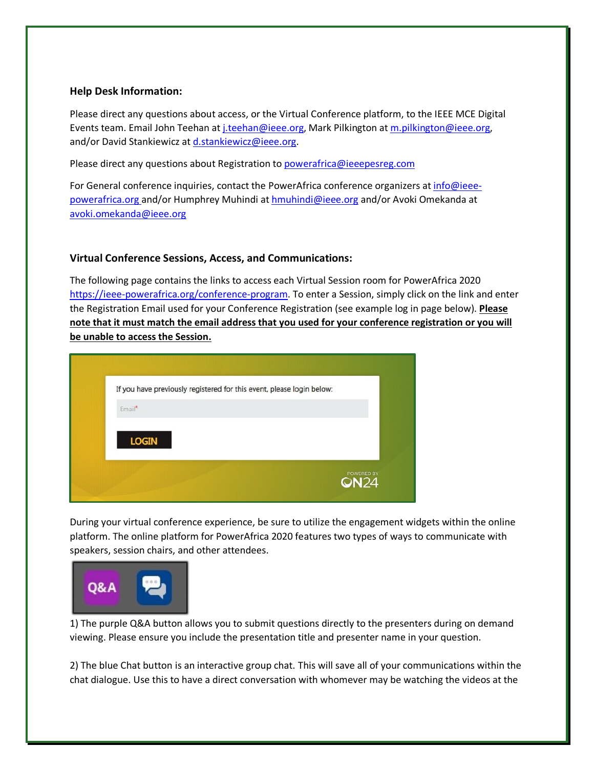#### **Help Desk Information:**

Please direct any questions about access, or the Virtual Conference platform, to the IEEE MCE Digital Events team. Email John Teehan at *j.teehan@ieee.org*, Mark Pilkington at m.pilkington@ieee.org, and/or David Stankiewicz at d.stankiewicz@ieee.org.

Please direct any questions about Registration to powerafrica@ieeepesreg.com

For General conference inquiries, contact the PowerAfrica conference organizers at info@ieeepowerafrica.org and/or Humphrey Muhindi at hmuhindi@ieee.org and/or Avoki Omekanda at avoki.omekanda@ieee.org

# **Virtual Conference Sessions, Access, and Communications:**

The following page contains the links to access each Virtual Session room for PowerAfrica 2020 https://ieee-powerafrica.org/conference-program. To enter a Session, simply click on the link and enter the Registration Email used for your Conference Registration (see example log in page below). **Please note that it must match the email address that you used for your conference registration or you will be unable to access the Session.**

| If you have previously registered for this event, please login below: |                           |
|-----------------------------------------------------------------------|---------------------------|
| Email*                                                                |                           |
| <b>LOGIN</b>                                                          |                           |
|                                                                       | POWERED BY<br><b>QN24</b> |

During your virtual conference experience, be sure to utilize the engagement widgets within the online platform. The online platform for PowerAfrica 2020 features two types of ways to communicate with speakers, session chairs, and other attendees.



1) The purple Q&A button allows you to submit questions directly to the presenters during on demand viewing. Please ensure you include the presentation title and presenter name in your question.

2) The blue Chat button is an interactive group chat. This will save all of your communications within the chat dialogue. Use this to have a direct conversation with whomever may be watching the videos at the